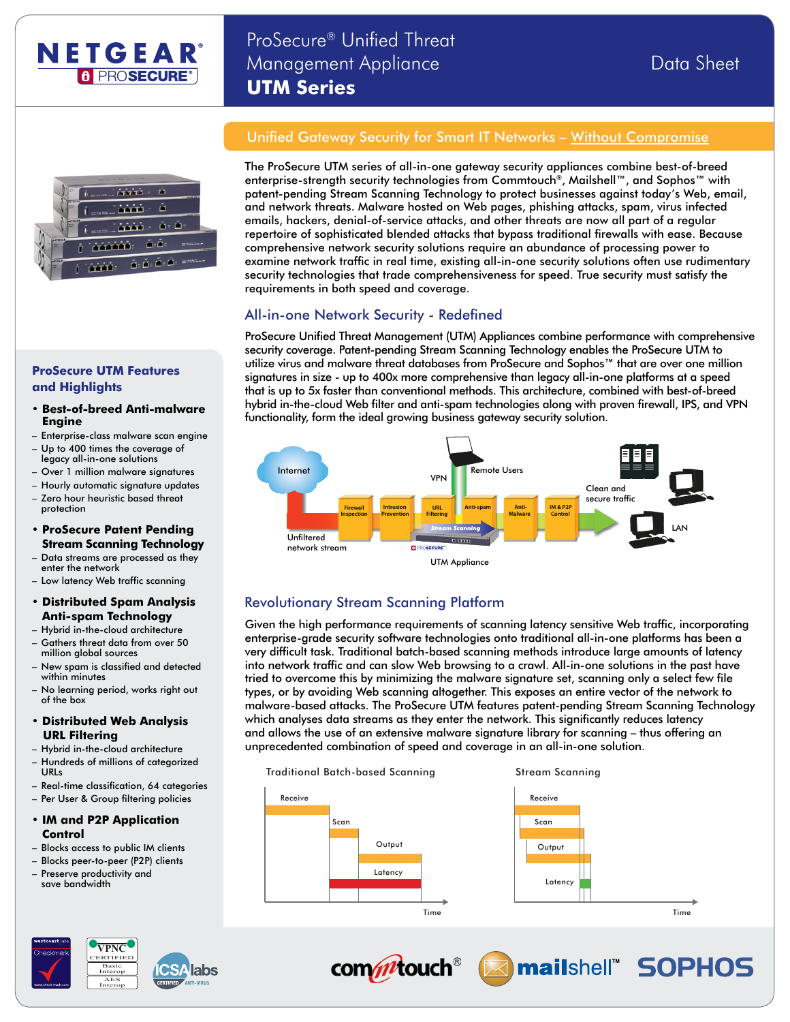

# ProSecure® Unified Threat Management Appliance Data Sheet **UTM Series**



## Unified Gateway Security for Smart IT Networks - Without Compromise

The ProSecure UTM series of all-in-one gateway security appliances combine best-of-breed enterprise-strength security technologies from Commtouch®, Mailshell™, and Sophos™ with patent-pending Stream Scanning Technology to protect businesses against today's Web, email, and network threats. Malware hosted on Web pages, phishing attacks, spam, virus infected emails, hackers, denial-of-service attacks, and other threats are now all part of a regular repertoire of sophisticated blended attacks that bypass traditional firewalls with ease. Because comprehensive network security solutions require an abundance of processing power to examine network traffic in real time, existing all-in-one security solutions often use rudimentary security technologies that trade comprehensiveness for speed. True security must satisfy the requirements in both speed and coverage.

## All-in-one Network Security - Redefined

ProSecure Unified Threat Management (UTM) Appliances combine performance with comprehensive security coverage. Patent-pending Stream Scanning Technology enables the ProSecure UTM to utilize virus and malware threat databases from ProSecure and Sophos™ that are over one million signatures in size - up to 400x more comprehensive than legacy all-in-one platforms at a speed that is up to 5x faster than conventional methods. This architecture, combined with best-of-breed hybrid in-the-cloud Web filter and anti-spam technologies along with proven firewall, IPS, and VPN functionality, form the ideal growing business gateway security solution.



# Revolutionary Stream Scanning Platform

Given the high performance requirements of scanning latency sensitive Web traffic, incorporating enterprise-grade security software technologies onto traditional all-in-one platforms has been a very difficult task. Traditional batch-based scanning methods introduce large amounts of latency into network traffic and can slow Web browsing to a crawl. All-in-one solutions in the past have tried to overcome this by minimizing the malware signature set, scanning only a select few file types, or by avoiding Web scanning altogether. This exposes an entire vector of the network to malware-based attacks. The ProSecure UTM features patent-pending Stream Scanning Technology which analyses data streams as they enter the network. This significantly reduces latency and allows the use of an extensive malware signature library for scanning – thus offering an unprecedented combination of speed and coverage in an all-in-one solution.







commtouch<sup>®</sup>



# **ProSecure UTM Features and Highlights**

#### **• Best-of-breed Anti-malware Engine**

- Enterprise-class malware scan engine
- Up to 400 times the coverage of legacy all-in-one solutions
- Over 1 million malware signatures
- Hourly automatic signature updates
- Zero hour heuristic based threat protection
- **• ProSecure Patent Pending Stream Scanning Technology**
- enter the network – Data streams are processed as they
- Low latency Web traffic scanning
- **• Distributed Spam Analysis Anti-spam Technology**
- Hybrid in-the-cloud architecture – Gathers threat data from over 50
- million global sources – New spam is classified and detected
- within minutes – No learning period, works right out of the box
- **• Distributed Web Analysis URL Filtering**
- Hybrid in-the-cloud architecture
- Hundreds of millions of categorized URLs
- Real-time classification, 64 categories
- Per User & Group filtering policies

#### **• IM and P2P Application Control**

- Blocks access to public IM clients
- 
- 
- Preserve productivity and
- 

save bandwidth

- 
- Blocks peer-to-peer (P2P) clients
-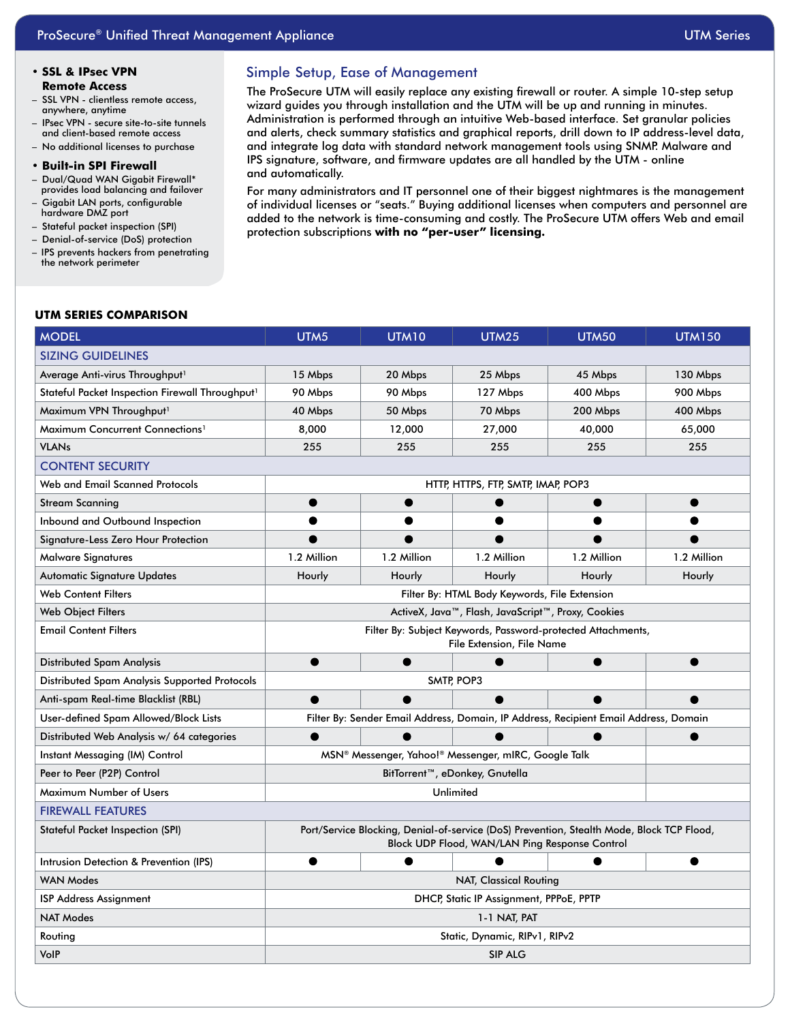#### **• SSL & IPsec VPN Remote Access**

- SSL VPN clientless remote access, anywhere, anytime
- IPsec VPN secure site-to-site tunnels and client-based remote access
- No additional licenses to purchase
- **• Built-in SPI Firewall**
- Dual/Quad WAN Gigabit Firewall\* provides load balancing and failover – Gigabit LAN ports, configurable
- hardware DMZ port
- Stateful packet inspection (SPI)
- Denial-of-service (DoS) protection
- IPS prevents hackers from penetrating the network perimeter

## Simple Setup, Ease of Management

The ProSecure UTM will easily replace any existing firewall or router. A simple 10-step setup wizard guides you through installation and the UTM will be up and running in minutes. Administration is performed through an intuitive Web-based interface. Set granular policies and alerts, check summary statistics and graphical reports, drill down to IP address-level data, and integrate log data with standard network management tools using SNMP. Malware and IPS signature, software, and firmware updates are all handled by the UTM - online and automatically.

For many administrators and IT personnel one of their biggest nightmares is the management of individual licenses or "seats." Buying additional licenses when computers and personnel are added to the network is time-consuming and costly. The ProSecure UTM offers Web and email protection subscriptions **with no "per-user" licensing.**

#### **UTM SERIES COMPARISON**

| <b>MODEL</b>                                                | UTM5                                                                                                                                        | UTM10       | <b>UTM25</b> | <b>UTM50</b> | <b>UTM150</b> |  |  |
|-------------------------------------------------------------|---------------------------------------------------------------------------------------------------------------------------------------------|-------------|--------------|--------------|---------------|--|--|
| <b>SIZING GUIDELINES</b>                                    |                                                                                                                                             |             |              |              |               |  |  |
| Average Anti-virus Throughput <sup>1</sup>                  | 15 Mbps                                                                                                                                     | 20 Mbps     | 25 Mbps      | 45 Mbps      | 130 Mbps      |  |  |
| Stateful Packet Inspection Firewall Throughput <sup>1</sup> | 90 Mbps                                                                                                                                     | 90 Mbps     | 127 Mbps     | 400 Mbps     | 900 Mbps      |  |  |
| Maximum VPN Throughput <sup>1</sup>                         | 40 Mbps                                                                                                                                     | 50 Mbps     | 70 Mbps      | 200 Mbps     | 400 Mbps      |  |  |
| Maximum Concurrent Connections <sup>1</sup>                 | 8,000                                                                                                                                       | 12,000      | 27,000       | 40,000       | 65,000        |  |  |
| <b>VLANs</b>                                                | 255                                                                                                                                         | 255         | 255          | 255          | 255           |  |  |
| <b>CONTENT SECURITY</b>                                     |                                                                                                                                             |             |              |              |               |  |  |
| Web and Email Scanned Protocols                             | HTTP, HTTPS, FTP, SMTP, IMAP, POP3                                                                                                          |             |              |              |               |  |  |
| <b>Stream Scanning</b>                                      | ●                                                                                                                                           | ●           |              |              |               |  |  |
| Inbound and Outbound Inspection                             |                                                                                                                                             |             |              |              |               |  |  |
| Signature-Less Zero Hour Protection                         |                                                                                                                                             |             |              |              |               |  |  |
| <b>Malware Signatures</b>                                   | 1.2 Million                                                                                                                                 | 1.2 Million | 1.2 Million  | 1.2 Million  | 1.2 Million   |  |  |
| Automatic Signature Updates                                 | Hourly                                                                                                                                      | Hourly      | Hourly       | Hourly       | Hourly        |  |  |
| <b>Web Content Filters</b>                                  | Filter By: HTML Body Keywords, File Extension                                                                                               |             |              |              |               |  |  |
| <b>Web Object Filters</b>                                   | ActiveX, Java™, Flash, JavaScript™, Proxy, Cookies                                                                                          |             |              |              |               |  |  |
| <b>Email Content Filters</b>                                | Filter By: Subject Keywords, Password-protected Attachments,<br>File Extension, File Name                                                   |             |              |              |               |  |  |
| Distributed Spam Analysis                                   |                                                                                                                                             |             |              |              |               |  |  |
| Distributed Spam Analysis Supported Protocols               | SMTP, POP3                                                                                                                                  |             |              |              |               |  |  |
| Anti-spam Real-time Blacklist (RBL)                         | ●                                                                                                                                           |             |              |              |               |  |  |
| User-defined Spam Allowed/Block Lists                       | Filter By: Sender Email Address, Domain, IP Address, Recipient Email Address, Domain                                                        |             |              |              |               |  |  |
| Distributed Web Analysis w/ 64 categories                   |                                                                                                                                             |             |              |              |               |  |  |
| Instant Messaging (IM) Control                              | MSN® Messenger, Yahoo!® Messenger, mIRC, Google Talk                                                                                        |             |              |              |               |  |  |
| Peer to Peer (P2P) Control                                  | BitTorrent™, eDonkey, Gnutella                                                                                                              |             |              |              |               |  |  |
| Maximum Number of Users                                     | Unlimited                                                                                                                                   |             |              |              |               |  |  |
| <b>FIREWALL FEATURES</b>                                    |                                                                                                                                             |             |              |              |               |  |  |
| Stateful Packet Inspection (SPI)                            | Port/Service Blocking, Denial-of-service (DoS) Prevention, Stealth Mode, Block TCP Flood,<br>Block UDP Flood, WAN/LAN Ping Response Control |             |              |              |               |  |  |
| Intrusion Detection & Prevention (IPS)                      |                                                                                                                                             |             |              |              |               |  |  |
| <b>WAN Modes</b>                                            | <b>NAT, Classical Routing</b>                                                                                                               |             |              |              |               |  |  |
| <b>ISP Address Assignment</b>                               | DHCP, Static IP Assignment, PPPoE, PPTP                                                                                                     |             |              |              |               |  |  |
| <b>NAT Modes</b>                                            | 1-1 NAT, PAT                                                                                                                                |             |              |              |               |  |  |
| Routing                                                     | Static, Dynamic, RIPv1, RIPv2                                                                                                               |             |              |              |               |  |  |
| VolP                                                        | SIP ALG                                                                                                                                     |             |              |              |               |  |  |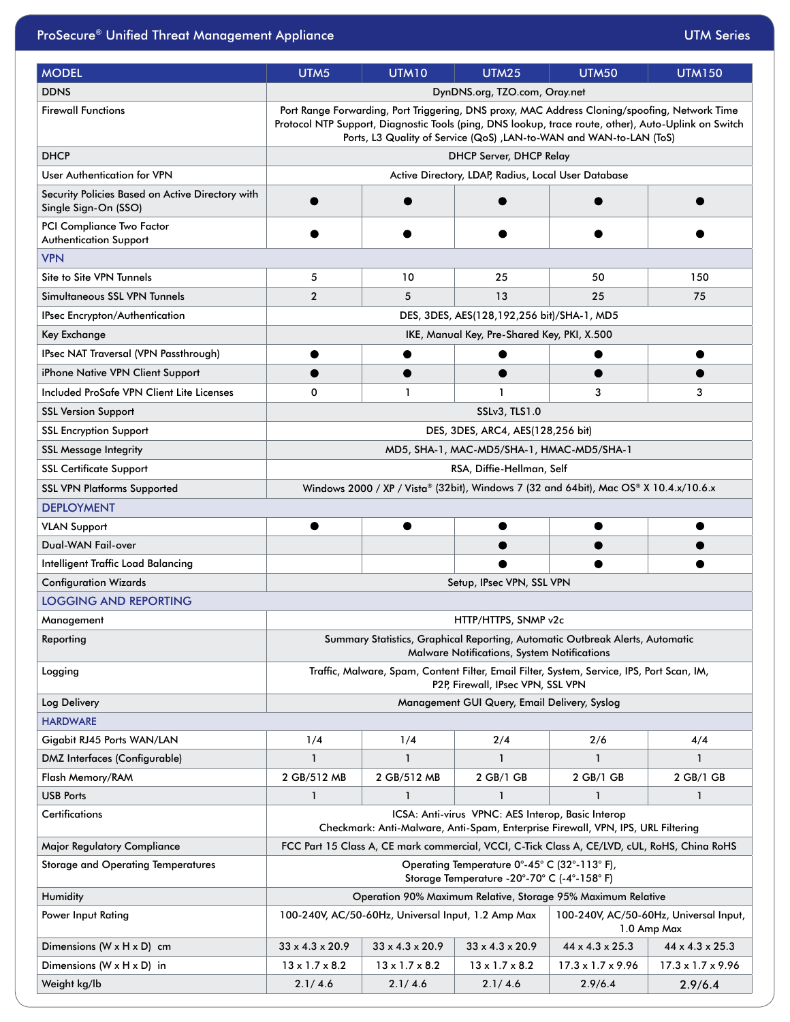| <b>MODEL</b>                                                             | UTM <sub>5</sub>                                                                                                                                                                                                                                                             | <b>UTM10</b>                | <b>UTM25</b>                | <b>UTM50</b>                                                                                 | <b>UTM150</b>   |  |  |
|--------------------------------------------------------------------------|------------------------------------------------------------------------------------------------------------------------------------------------------------------------------------------------------------------------------------------------------------------------------|-----------------------------|-----------------------------|----------------------------------------------------------------------------------------------|-----------------|--|--|
| <b>DDNS</b>                                                              | DynDNS.org, TZO.com, Oray.net                                                                                                                                                                                                                                                |                             |                             |                                                                                              |                 |  |  |
| <b>Firewall Functions</b>                                                | Port Range Forwarding, Port Triggering, DNS proxy, MAC Address Cloning/spoofing, Network Time<br>Protocol NTP Support, Diagnostic Tools (ping, DNS lookup, trace route, other), Auto-Uplink on Switch<br>Ports, L3 Quality of Service (QoS), LAN-to-WAN and WAN-to-LAN (ToS) |                             |                             |                                                                                              |                 |  |  |
| <b>DHCP</b>                                                              | <b>DHCP Server, DHCP Relay</b>                                                                                                                                                                                                                                               |                             |                             |                                                                                              |                 |  |  |
| User Authentication for VPN                                              | Active Directory, LDAP, Radius, Local User Database                                                                                                                                                                                                                          |                             |                             |                                                                                              |                 |  |  |
| Security Policies Based on Active Directory with<br>Single Sign-On (SSO) |                                                                                                                                                                                                                                                                              |                             |                             |                                                                                              |                 |  |  |
| PCI Compliance Two Factor<br><b>Authentication Support</b>               |                                                                                                                                                                                                                                                                              |                             |                             |                                                                                              |                 |  |  |
| <b>VPN</b>                                                               |                                                                                                                                                                                                                                                                              |                             |                             |                                                                                              |                 |  |  |
| Site to Site VPN Tunnels                                                 | 5                                                                                                                                                                                                                                                                            | 10                          | 25                          | 50                                                                                           | 150             |  |  |
| Simultaneous SSL VPN Tunnels                                             | $\overline{2}$                                                                                                                                                                                                                                                               | 5                           | 13                          | 25                                                                                           | 75              |  |  |
| IPsec Encrypton/Authentication                                           | DES, 3DES, AES(128,192,256 bit)/SHA-1, MD5                                                                                                                                                                                                                                   |                             |                             |                                                                                              |                 |  |  |
| Key Exchange                                                             | IKE, Manual Key, Pre-Shared Key, PKI, X.500                                                                                                                                                                                                                                  |                             |                             |                                                                                              |                 |  |  |
| IPsec NAT Traversal (VPN Passthrough)                                    |                                                                                                                                                                                                                                                                              |                             |                             |                                                                                              |                 |  |  |
| iPhone Native VPN Client Support                                         |                                                                                                                                                                                                                                                                              |                             |                             |                                                                                              |                 |  |  |
| Included ProSafe VPN Client Lite Licenses                                | 0                                                                                                                                                                                                                                                                            | $\mathbf{1}$                | $\mathbf{1}$                | 3                                                                                            | 3               |  |  |
| <b>SSL Version Support</b>                                               | SSLv3, TLS1.0                                                                                                                                                                                                                                                                |                             |                             |                                                                                              |                 |  |  |
| <b>SSL Encryption Support</b>                                            | DES, 3DES, ARC4, AES(128,256 bit)                                                                                                                                                                                                                                            |                             |                             |                                                                                              |                 |  |  |
| <b>SSL Message Integrity</b>                                             | MD5, SHA-1, MAC-MD5/SHA-1, HMAC-MD5/SHA-1                                                                                                                                                                                                                                    |                             |                             |                                                                                              |                 |  |  |
| <b>SSL Certificate Support</b>                                           | RSA, Diffie-Hellman, Self                                                                                                                                                                                                                                                    |                             |                             |                                                                                              |                 |  |  |
| <b>SSL VPN Platforms Supported</b>                                       |                                                                                                                                                                                                                                                                              |                             |                             |                                                                                              |                 |  |  |
| <b>DEPLOYMENT</b>                                                        | Windows 2000 / XP / Vista® (32bit), Windows 7 (32 and 64bit), Mac OS® X 10.4.x/10.6.x                                                                                                                                                                                        |                             |                             |                                                                                              |                 |  |  |
| <b>VLAN Support</b>                                                      |                                                                                                                                                                                                                                                                              |                             |                             |                                                                                              |                 |  |  |
| Dual-WAN Fail-over                                                       |                                                                                                                                                                                                                                                                              |                             |                             |                                                                                              |                 |  |  |
| Intelligent Traffic Load Balancing                                       |                                                                                                                                                                                                                                                                              |                             |                             |                                                                                              |                 |  |  |
| <b>Configuration Wizards</b>                                             |                                                                                                                                                                                                                                                                              |                             | Setup, IPsec VPN, SSL VPN   |                                                                                              |                 |  |  |
| <b>LOGGING AND REPORTING</b>                                             |                                                                                                                                                                                                                                                                              |                             |                             |                                                                                              |                 |  |  |
| Management                                                               | HTTP/HTTPS, SNMP v2c                                                                                                                                                                                                                                                         |                             |                             |                                                                                              |                 |  |  |
| Reporting                                                                | Summary Statistics, Graphical Reporting, Automatic Outbreak Alerts, Automatic<br>Malware Notifications, System Notifications                                                                                                                                                 |                             |                             |                                                                                              |                 |  |  |
| Logging                                                                  | Traffic, Malware, Spam, Content Filter, Email Filter, System, Service, IPS, Port Scan, IM,<br>P2P, Firewall, IPsec VPN, SSL VPN                                                                                                                                              |                             |                             |                                                                                              |                 |  |  |
| Log Delivery                                                             | Management GUI Query, Email Delivery, Syslog                                                                                                                                                                                                                                 |                             |                             |                                                                                              |                 |  |  |
| <b>HARDWARE</b>                                                          |                                                                                                                                                                                                                                                                              |                             |                             |                                                                                              |                 |  |  |
| Gigabit RJ45 Ports WAN/LAN                                               | 1/4                                                                                                                                                                                                                                                                          | 1/4                         | 2/4                         | 2/6                                                                                          | 4/4             |  |  |
| DMZ Interfaces (Configurable)                                            | $\mathbf{1}$                                                                                                                                                                                                                                                                 | 1                           | 1                           | 1                                                                                            | 1               |  |  |
| Flash Memory/RAM                                                         | 2 GB/512 MB                                                                                                                                                                                                                                                                  | 2 GB/512 MB                 | 2 GB/1 GB                   | 2 GB/1 GB                                                                                    | 2 GB/1 GB       |  |  |
| <b>USB Ports</b>                                                         | 1                                                                                                                                                                                                                                                                            | $\mathbf{1}$                | 1                           | 1                                                                                            | 1               |  |  |
| <b>Certifications</b>                                                    | ICSA: Anti-virus VPNC: AES Interop, Basic Interop<br>Checkmark: Anti-Malware, Anti-Spam, Enterprise Firewall, VPN, IPS, URL Filtering                                                                                                                                        |                             |                             |                                                                                              |                 |  |  |
| Major Regulatory Compliance                                              |                                                                                                                                                                                                                                                                              |                             |                             | FCC Part 15 Class A, CE mark commercial, VCCI, C-Tick Class A, CE/LVD, cUL, RoHS, China RoHS |                 |  |  |
| <b>Storage and Operating Temperatures</b>                                | Operating Temperature 0°-45° C (32°-113° F),<br>Storage Temperature -20°-70° C (-4°-158° F)                                                                                                                                                                                  |                             |                             |                                                                                              |                 |  |  |
| Humidity                                                                 | Operation 90% Maximum Relative, Storage 95% Maximum Relative                                                                                                                                                                                                                 |                             |                             |                                                                                              |                 |  |  |
| Power Input Rating                                                       | 100-240V, AC/50-60Hz, Universal Input, 1.2 Amp Max<br>100-240V, AC/50-60Hz, Universal Input,<br>1.0 Amp Max                                                                                                                                                                  |                             |                             |                                                                                              |                 |  |  |
| Dimensions (W x H x D) cm                                                | $33 \times 4.3 \times 20.9$                                                                                                                                                                                                                                                  | $33 \times 4.3 \times 20.9$ | $33 \times 4.3 \times 20.9$ | 44 x 4.3 x 25.3                                                                              | 44 x 4.3 x 25.3 |  |  |

Dimensions (W x H x D) in 13 x 1.7 x 8.2 13 x 1.7 x 8.2 13 x 1.7 x 8.2 13 x 1.7 x 8.2 17.3 x 1.7 x 9.96 17.3 x 1.7 x 9.96 Weight kg/lb 2.1/ 4.6 2.1/ 4.6 2.1/ 4.6 2.9/6.4 2.9/6.4